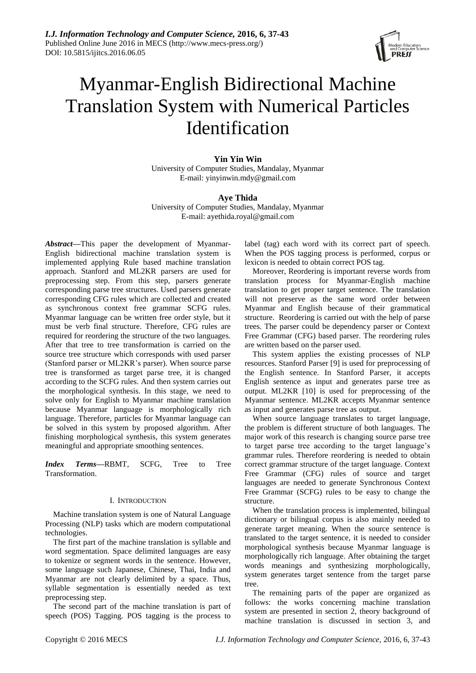

# Myanmar-English Bidirectional Machine Translation System with Numerical Particles Identification

**Yin Yin Win** University of Computer Studies, Mandalay, Myanmar E-mail: yinyinwin.mdy@gmail.com

# **Aye Thida**

University of Computer Studies, Mandalay, Myanmar E-mail: ayethida.royal@gmail.com

*Abstract***—**This paper the development of Myanmar-English bidirectional machine translation system is implemented applying Rule based machine translation approach. Stanford and ML2KR parsers are used for preprocessing step. From this step, parsers generate corresponding parse tree structures. Used parsers generate corresponding CFG rules which are collected and created as synchronous context free grammar SCFG rules. Myanmar language can be written free order style, but it must be verb final structure. Therefore, CFG rules are required for reordering the structure of the two languages. After that tree to tree transformation is carried on the source tree structure which corresponds with used parser (Stanford parser or ML2KR's parser). When source parse tree is transformed as target parse tree, it is changed according to the SCFG rules. And then system carries out the morphological synthesis. In this stage, we need to solve only for English to Myanmar machine translation because Myanmar language is morphologically rich language. Therefore, particles for Myanmar language can be solved in this system by proposed algorithm. After finishing morphological synthesis, this system generates meaningful and appropriate smoothing sentences.

*Index Terms***—**RBMT, SCFG, Tree to Tree Transformation.

## I. INTRODUCTION

Machine translation system is one of Natural Language Processing (NLP) tasks which are modern computational technologies.

The first part of the machine translation is syllable and word segmentation. Space delimited languages are easy to tokenize or segment words in the sentence. However, some language such Japanese, Chinese, Thai, India and Myanmar are not clearly delimited by a space. Thus, syllable segmentation is essentially needed as text preprocessing step.

The second part of the machine translation is part of speech (POS) Tagging. POS tagging is the process to

label (tag) each word with its correct part of speech. When the POS tagging process is performed, corpus or lexicon is needed to obtain correct POS tag.

Moreover, Reordering is important reverse words from translation process for Myanmar-English machine translation to get proper target sentence. The translation will not preserve as the same word order between Myanmar and English because of their grammatical structure. Reordering is carried out with the help of parse trees. The parser could be dependency parser or Context Free Grammar (CFG) based parser. The reordering rules are written based on the parser used.

This system applies the existing processes of NLP resources. Stanford Parser [9] is used for preprocessing of the English sentence. In Stanford Parser, it accepts English sentence as input and generates parse tree as output. ML2KR [10] is used for preprocessing of the Myanmar sentence. ML2KR accepts Myanmar sentence as input and generates parse tree as output.

When source language translates to target language, the problem is different structure of both languages. The major work of this research is changing source parse tree to target parse tree according to the target language's grammar rules. Therefore reordering is needed to obtain correct grammar structure of the target language. Context Free Grammar (CFG) rules of source and target languages are needed to generate Synchronous Context Free Grammar (SCFG) rules to be easy to change the structure.

When the translation process is implemented, bilingual dictionary or bilingual corpus is also mainly needed to generate target meaning. When the source sentence is translated to the target sentence, it is needed to consider morphological synthesis because Myanmar language is morphologically rich language. After obtaining the target words meanings and synthesizing morphologically, system generates target sentence from the target parse tree.

The remaining parts of the paper are organized as follows: the works concerning machine translation system are presented in section 2, theory background of machine translation is discussed in section 3, and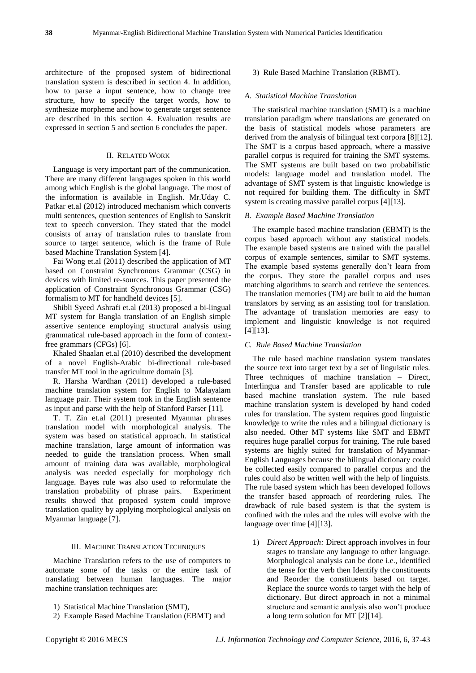architecture of the proposed system of bidirectional translation system is described in section 4. In addition, how to parse a input sentence, how to change tree structure, how to specify the target words, how to synthesize morpheme and how to generate target sentence are described in this section 4. Evaluation results are expressed in section 5 and section 6 concludes the paper.

## II. RELATED WORK

Language is very important part of the communication. There are many different languages spoken in this world among which English is the global language. The most of the information is available in English. Mr.Uday C. Patkar et.al (2012) introduced mechanism which converts multi sentences, question sentences of English to Sanskrit text to speech conversion. They stated that the model consists of array of translation rules to translate from source to target sentence, which is the frame of Rule based Machine Translation System [4].

Fai Wong et.al (2011) described the application of MT based on Constraint Synchronous Grammar (CSG) in devices with limited re-sources. This paper presented the application of Constraint Synchronous Grammar (CSG) formalism to MT for handheld devices [5].

Shibli Syeed Ashrafi et.al (2013) proposed a bi-lingual MT system for Bangla translation of an English simple assertive sentence employing structural analysis using grammatical rule-based approach in the form of contextfree grammars (CFGs) [6].

Khaled Shaalan et.al (2010) described the development of a novel English-Arabic bi-directional rule-based transfer MT tool in the agriculture domain [3].

R. Harsha Wardhan (2011) developed a rule-based machine translation system for English to Malayalam language pair. Their system took in the English sentence as input and parse with the help of Stanford Parser [11].

T. T. Zin et.al (2011) presented Myanmar phrases translation model with morphological analysis. The system was based on statistical approach. In statistical machine translation, large amount of information was needed to guide the translation process. When small amount of training data was available, morphological analysis was needed especially for morphology rich language. Bayes rule was also used to reformulate the translation probability of phrase pairs. Experiment results showed that proposed system could improve translation quality by applying morphological analysis on Myanmar language [7].

#### III. MACHINE TRANSLATION TECHNIQUES

Machine Translation refers to the use of computers to automate some of the tasks or the entire task of translating between human languages. The major machine translation techniques are:

2) Example Based Machine Translation (EBMT) and

## 3) Rule Based Machine Translation (RBMT).

#### *A. Statistical Machine Translation*

The statistical machine translation (SMT) is a machine translation paradigm where translations are generated on the basis of statistical models whose parameters are derived from the analysis of bilingual text corpora [8][12]. The SMT is a corpus based approach, where a massive parallel corpus is required for training the SMT systems. The SMT systems are built based on two probabilistic models: language model and translation model. The advantage of SMT system is that linguistic knowledge is not required for building them. The difficulty in SMT system is creating massive parallel corpus [4][13].

### *B. Example Based Machine Translation*

The example based machine translation (EBMT) is the corpus based approach without any statistical models. The example based systems are trained with the parallel corpus of example sentences, similar to SMT systems. The example based systems generally don't learn from the corpus. They store the parallel corpus and uses matching algorithms to search and retrieve the sentences. The translation memories (TM) are built to aid the human translators by serving as an assisting tool for translation. The advantage of translation memories are easy to implement and linguistic knowledge is not required [4][13].

## *C. Rule Based Machine Translation*

The rule based machine translation system translates the source text into target text by a set of linguistic rules. Three techniques of machine translation – Direct, Interlingua and Transfer based are applicable to rule based machine translation system. The rule based machine translation system is developed by hand coded rules for translation. The system requires good linguistic knowledge to write the rules and a bilingual dictionary is also needed. Other MT systems like SMT and EBMT requires huge parallel corpus for training. The rule based systems are highly suited for translation of Myanmar-English Languages because the bilingual dictionary could be collected easily compared to parallel corpus and the rules could also be written well with the help of linguists. The rule based system which has been developed follows the transfer based approach of reordering rules. The drawback of rule based system is that the system is confined with the rules and the rules will evolve with the language over time [4][13].

1) *Direct Approach:* Direct approach involves in four stages to translate any language to other language. Morphological analysis can be done i.e., identified the tense for the verb then Identify the constituents and Reorder the constituents based on target. Replace the source words to target with the help of dictionary. But direct approach in not a minimal structure and semantic analysis also won't produce a long term solution for MT [2][14].

<sup>1)</sup> Statistical Machine Translation (SMT),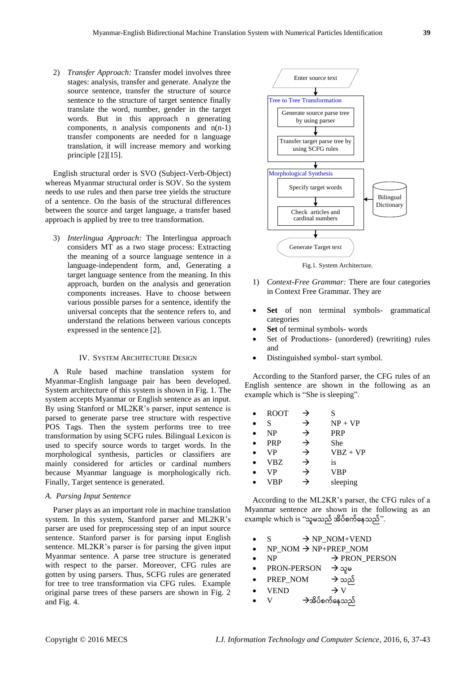2) *Transfer Approach:* Transfer model involves three stages: analysis, transfer and generate. Analyze the source sentence, transfer the structure of source sentence to the structure of target sentence finally translate the word, number, gender in the target words. But in this approach n generating components, n analysis components and n(n-1) transfer components are needed for n language translation, it will increase memory and working principle [2][15].

English structural order is SVO (Subject-Verb-Object) whereas Myanmar structural order is SOV. So the system needs to use rules and then parse tree yields the structure of a sentence. On the basis of the structural differences between the source and target language, a transfer based approach is applied by tree to tree transformation.

3) *Interlingua Approach:* The Interlingua approach considers MT as a two stage process: Extracting the meaning of a source language sentence in a language-independent form, and, Generating a target language sentence from the meaning. In this approach, burden on the analysis and generation components increases. Have to choose between various possible parses for a sentence, identify the universal concepts that the sentence refers to, and understand the relations between various concepts expressed in the sentence [2].

## IV. SYSTEM ARCHITECTURE DESIGN

A Rule based machine translation system for Myanmar-English language pair has been developed. System architecture of this system is shown in Fig. 1. The system accepts Myanmar or English sentence as an input. By using Stanford or ML2KR's parser, input sentence is parsed to generate parse tree structure with respective POS Tags. Then the system performs tree to tree transformation by using SCFG rules. Bilingual Lexicon is used to specify source words to target words. In the morphological synthesis, particles or classifiers are mainly considered for articles or cardinal numbers because Myanmar language is morphologically rich. Finally, Target sentence is generated.

## *A. Parsing Input Sentence*

Parser plays as an important role in machine translation system. In this system, Stanford parser and ML2KR's parser are used for preprocessing step of an input source sentence. Stanford parser is for parsing input English sentence. ML2KR's parser is for parsing the given input Myanmar sentence. A parse tree structure is generated with respect to the parser. Moreover, CFG rules are gotten by using parsers. Thus, SCFG rules are generated for tree to tree transformation via CFG rules. Example original parse trees of these parsers are shown in Fig. 2 and Fig. 4.



Fig.1. System Architecture.

- 1) *Context-Free Grammar:* There are four categories in Context Free Grammar. They are
- **Set** of non terminal symbols- grammatical categories
- **Set** of terminal symbols- words
- Set of Productions- (unordered) (rewriting) rules and
- Distinguished symbol- start symbol.

According to the Stanford parser, the CFG rules of an English sentence are shown in the following as an example which is "She is sleeping".

| <b>ROOT</b> | → | S          |
|-------------|---|------------|
| S           | → | $NP + VP$  |
| <b>NP</b>   | → | <b>PRP</b> |
| <b>PRP</b>  | → | She        |
| <b>VP</b>   | → | $VBZ + VP$ |
| <b>VBZ</b>  | → | is         |
| VP          | → | <b>VBP</b> |
| VBP         | → | sleeping   |

According to the ML2KR's parser, the CFG rules of a Myanmar sentence are shown in the following as an example which is "သူမသည် အိပ်စက်နေသည်".

- $S \rightarrow NP NOM+VEND$
- $NP$  NOM  $\rightarrow NP+PREF$  NOM
- $NP$   $\rightarrow$  PRON PERSON
- PRON-PERSON  $\rightarrow$ သူမ
- PREP\_NOM  $\rightarrow$  သည်
- VEND  $\rightarrow$  V
- $V$   $\rightarrow$ အိပ်စက်နေသည်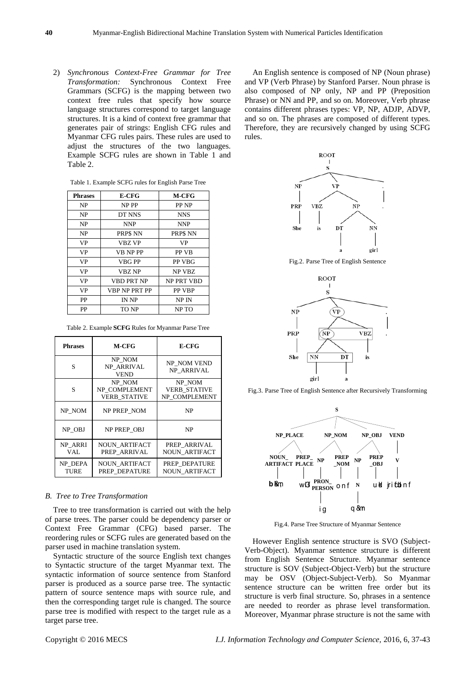2) *Synchronous Context-Free Grammar for Tree Transformation:* Synchronous Context Free Grammars (SCFG) is the mapping between two context free rules that specify how source language structures correspond to target language structures. It is a kind of context free grammar that generates pair of strings: English CFG rules and Myanmar CFG rules pairs. These rules are used to adjust the structures of the two languages. Example SCFG rules are shown in Table 1 and Table 2.

| E-CFG             | <b>M-CFG</b>  |
|-------------------|---------------|
| NP PP             | PP NP         |
| DT NNS            | <b>NNS</b>    |
| NNP               | <b>NNP</b>    |
| PRP\$ NN          | PRP\$ NN      |
| <b>VBZ VP</b>     | <b>VP</b>     |
| <b>VB NP PP</b>   | <b>PP VB</b>  |
| <b>VBG PP</b>     | PP VBG        |
| <b>VBZ NP</b>     | NP VBZ        |
| <b>VBD PRT NP</b> | NP PRT VBD    |
| VBP NP PRT PP     | <b>PP VBP</b> |
| IN NP             | NP IN         |
| TO NP             | NP TO         |
|                   |               |

Table 1. Example SCFG rules for English Parse Tree

|  | Table 2. Example SCFG Rules for Myanmar Parse Tree |  |  |  |  |  |  |
|--|----------------------------------------------------|--|--|--|--|--|--|
|--|----------------------------------------------------|--|--|--|--|--|--|

| <b>Phrases</b>                                      | M-CFG                                 | <b>E-CFG</b>                                   |  |
|-----------------------------------------------------|---------------------------------------|------------------------------------------------|--|
| S                                                   | NP NOM<br>NP ARRIVAL<br><b>VEND</b>   | NP NOM VEND<br>NP ARRIVAL                      |  |
| NP NOM<br>S<br>NP COMPLEMENT<br><b>VERB STATIVE</b> |                                       | NP NOM<br><b>VERB STATIVE</b><br>NP COMPLEMENT |  |
| NP NOM                                              | NP PREP NOM                           | NP                                             |  |
| NP OBJ                                              | NP PREP OBJ                           | NP                                             |  |
| NP ARRI<br>VAL.                                     | <b>NOUN ARTIFACT</b><br>PREP ARRIVAL  | PREP ARRIVAL<br><b>NOUN ARTIFACT</b>           |  |
| NP DEPA<br>TURE                                     | <b>NOUN ARTIFACT</b><br>PREP DEPATURE | PREP_DEPATURE<br><b>NOUN ARTIFACT</b>          |  |

### *B. Tree to Tree Transformation*

Tree to tree transformation is carried out with the help of parse trees. The parser could be dependency parser or Context Free Grammar (CFG) based parser. The reordering rules or SCFG rules are generated based on the parser used in machine translation system.

Syntactic structure of the source English text changes to Syntactic structure of the target Myanmar text. The syntactic information of source sentence from Stanford parser is produced as a source parse tree. The syntactic pattern of source sentence maps with source rule, and then the corresponding target rule is changed. The source parse tree is modified with respect to the target rule as a target parse tree.

An English sentence is composed of NP (Noun phrase) and VP (Verb Phrase) by Stanford Parser. Noun phrase is also composed of NP only, NP and PP (Preposition Phrase) or NN and PP, and so on. Moreover, Verb phrase contains different phrases types: VP, NP, ADJP, ADVP, and so on. The phrases are composed of different types. Therefore, they are recursively changed by using SCFG rules.



Fig.2. Parse Tree of English Sentence



Fig.3. Parse Tree of English Sentence after Recursively Transforming



Fig.4. Parse Tree Structure of Myanmar Sentence

However English sentence structure is SVO (Subject-Verb-Object). Myanmar sentence structure is different from English Sentence Structure. Myanmar sentence structure is SOV (Subject-Object-Verb) but the structure may be OSV (Object-Subject-Verb). So Myanmar sentence structure can be written free order but its structure is verb final structure. So, phrases in a sentence are needed to reorder as phrase level transformation. Moreover, Myanmar phrase structure is not the same with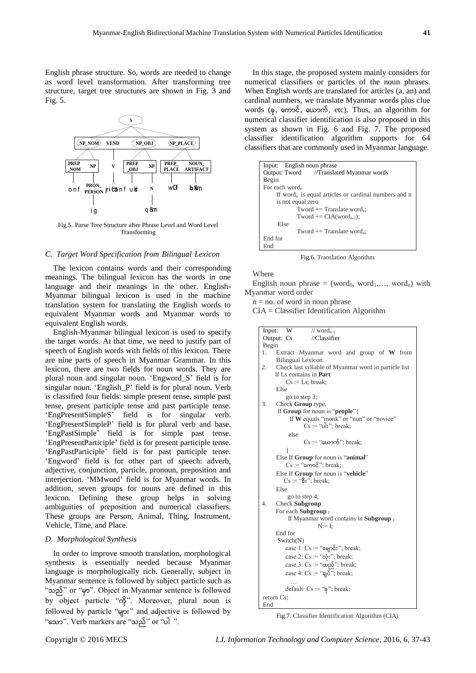English phrase structure. So, words are needed to change as word level transformation. After transforming tree structure, target tree structures are shown in Fig. 3 and Fig. 5.



Fig.5. Parse Tree Structure after Phrase Level and Word Level Transforming

## *C. Target Word Specification from Bilingual Lexicon*

The lexicon contains words and their corresponding meanings. The bilingual lexicon has the words in one language and their meanings in the other. English-Myanmar bilingual lexicon is used in the machine translation system for translating the English words to equivalent Myanmar words and Myanmar words to equivalent English words.

English-Myanmar bilingual lexicon is used to specify the target words. At that time, we need to justify part of speech of English words with fields of this lexicon. There are nine parts of speech in Myanmar Grammar. In this lexicon, there are two fields for noun words. They are plural noun and singular noun. 'Engword\_S' field is for singular noun. 'English\_P' field is for plural noun. Verb is classified four fields: simple present tense, simple past tense, present participle tense and past participle tense. 'EngPresentSimpleS' field is for singular verb. 'EngPresentSimpleP' field is for plural verb and base. 'EngPastSimple' field is for simple past tense. 'EngPresentParticiple' field is for present participle tense. 'EngPastParticiple' field is for past participle tense. 'Engword' field is for other part of speech: adverb, adjective, conjunction, particle, pronoun, preposition and interjection. 'MMword' field is for Myanmar words. In addition, seven groups for nouns are defined in this lexicon. Defining these group helps in solving ambiguities of preposition and numerical classifiers. These groups are Person, Animal, Thing, Instrument, Vehicle, Time, and Place.

#### *D. Morphological Synthesis*

In order to improve smooth translation, morphological synthesis is essentially needed because Myanmar language is morphologically rich. Generally, subject in Myanmar sentence is followed by subject particle such as "သည်" or "မ ှာ". Object in Myanmar sentence is followed by object particle "ကို". Moreover, plural noun is followed by particle "များ" and adjective is followed by "နသာ". Verb markers are "သည်" or "ပါ ".

In this stage, the proposed system mainly considers for numerical classifiers or particles of the noun phrases. When English words are translated for articles (a, an) and cardinal numbers, we translate Myanmar words plus clue words  $(\varphi, \varphi)$   $\varphi$ ,  $(\varphi, \varphi)$ ,  $(\varphi, \varphi)$ ,  $(\varphi, \varphi)$ ,  $(\varphi, \varphi)$ ,  $(\varphi, \varphi)$ ,  $(\varphi, \varphi)$ ,  $(\varphi, \varphi)$ ,  $(\varphi, \varphi)$ ,  $(\varphi, \varphi)$ ,  $(\varphi, \varphi)$ ,  $(\varphi, \varphi)$ ,  $(\varphi, \varphi)$ ,  $(\varphi, \varphi)$ ,  $(\varphi, \varphi)$ ,  $(\varphi, \varphi)$ ,  $(\varphi, \varphi)$ ,  $(\varphi,$ numerical classifier identification is also proposed in this system as shown in Fig. 6 and Fig. 7. The proposed classifier identification algorithm supports for 64 classifiers that are commonly used in Myanmar language.

| Input: English noun phrase                                       |  |  |  |  |
|------------------------------------------------------------------|--|--|--|--|
| Output: Tword //Translated Myanmar words                         |  |  |  |  |
| Begin                                                            |  |  |  |  |
| For each word <sub>n</sub>                                       |  |  |  |  |
| If word <sub>n</sub> is equal articles or cardinal numbers and n |  |  |  |  |
| is not equal zero                                                |  |  |  |  |
| Tword $ ==$ Translate word <sub>n</sub> ;                        |  |  |  |  |
| Tword $+=$ CIA(word <sub>n-1</sub> );                            |  |  |  |  |
| Else                                                             |  |  |  |  |
| Tword $+=$ Translate word <sub>n</sub> ;                         |  |  |  |  |
| End for                                                          |  |  |  |  |
| End                                                              |  |  |  |  |

Fig.6. Translation Algorithm

#### Where

English noun phrase = (word<sub>0</sub>, word<sub>1</sub>,..., word<sub>n</sub>) with Myanmar word order

 $n = no$ . of word in noun phrase

CIA = Classifier Identification Algorithm

```
Input: W // word<sub>n-1</sub>
Output: Cs //Classifier
Begin
1. Extract Myanmar word and group of W from 
     Bilingual Lexicon
2. Check last syllable of Myanmar word in particle list
     If Ls contains in Part
         Cs := Ls; break;
     Else 
          go to step 3;
3. Check Group type.
      If Group for noun is "people"{ 
          If W equals "monk" or "nun" or "novice"
                Cs := "o]:"; break;
          else
                Cs := "w\rightarrow S"; break;
      }
     Else If Group for noun is "animal"
         Cs := "gmo\delta"; break;
     Else If Group for noun is "vehicle"
        Cs := "8:"; break;
     Else 
           go to step 4;
4. Check Subgroup
     For each Subgroup I
          If Myanmar word contains in Subgroup I
                      N:= I:
      End for
      Switch(N)
         case 1: Cs := "eqp\&":"; break;case 2: Cs := "လုံး"; break;
         case 3: Cs = \alpha \infty<sup>3</sup>; break;
         case 4: Cs := \sqrt[\alpha]{\delta}; break;
           …
         default: Cs := "q"; break;
return Cs;
End
```
Fig.7. Classifier Identification Algorithm (CIA)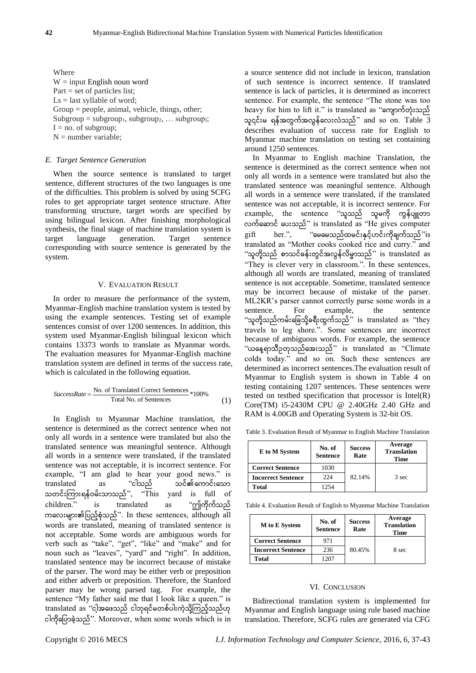Where  $W = input$  English noun word Part = set of particles list;  $Ls =$  last syllable of word; Group = people, animal, vehicle, things, other;  $Subgroup = subgroup<sub>1</sub>, subgroup<sub>2</sub>, ... subgroup<sub>i</sub>$  $I = no$ . of subgroup:  $N =$  number variable:

#### *E. Target Sentence Generation*

When the source sentence is translated to target sentence, different structures of the two languages is one of the difficulties. This problem is solved by using SCFG rules to get appropriate target sentence structure. After transforming structure, target words are specified by using bilingual lexicon. After finishing morphological synthesis, the final stage of machine translation system is target language generation. Target sentence corresponding with source sentence is generated by the system.

### V. EVALUATION RESULT

In order to measure the performance of the system, Myanmar-English machine translation system is tested by using the example sentences. Testing set of example sentences consist of over 1200 sentences. In addition, this system used Myanmar-English bilingual lexicon which contains 13373 words to translate as Myanmar words. The evaluation measures for Myanmar-English machine translation system are defined in terms of the success rate, which is calculated in the following equation.

$$
SuccessRate = \frac{\text{No. of Translated Correct Sentences}}{\text{Total No. of Sentences}} * 100\%
$$
 (1)

In English to Myanmar Machine translation, the sentence is determined as the correct sentence when not only all words in a sentence were translated but also the translated sentence was meaningful sentence. Although all words in a sentence were translated, if the translated sentence was not acceptable, it is incorrect sentence. For example, "I am glad to hear your good news." is translated as "ငါသည် သင်၏ကောင်းသော သတင်းကြားရန်ဝမ်းသာသည်", "This yard is full of children." is translated as "ဤကိုက်သည် ကနလးများ၏ပပည့်စုံသည်". In these sentences, although all words are translated, meaning of translated sentence is not acceptable. Some words are ambiguous words for verb such as "take", "get", "like" and "make" and for noun such as "leaves", "yard" and "right". In addition, translated sentence may be incorrect because of mistake of the parser. The word may be either verb or preposition and either adverb or preposition. Therefore, the Stanford parser may be wrong parsed tag. For example, the sentence "My father said me that I look like a queen." is translated as "ငါ့အဖေသည် ငါဘုရင်မတစ်ပါးကဲ့သို့ကြည့်သည်ဟု ငါကိုပြောခဲ့သည်". Moreover, when some words which is in

a source sentence did not include in lexicon, translation of such sentence is incorrect sentence. If translated sentence is lack of particles, it is determined as incorrect sentence. For example, the sentence "The stone was too heavy for him to lift it." is translated as "ကျောက်တုံးသည် သူ၎င်းမ ရန်အတွက်အလွန်လေးလံသည်" and so on. Table 3 describes evaluation of success rate for English to Myanmar machine translation on testing set containing around 1250 sentences.

In Myanmar to English machine Translation, the sentence is determined as the correct sentence when not only all words in a sentence were translated but also the translated sentence was meaningful sentence. Although all words in a sentence were translated, if the translated sentence was not acceptable, it is incorrect sentence. For example, the sentence "သူသည် သူမကို ကွန်ပျူတာ လက်ဆောင် ပေးသည်" is translated as "He gives computer  $g$ ift her.", "မေမေသည်ထမင်းနှင့်ဟင်းကိုချက်သည်"is translated as "Mother cooks cooked rice and curry." and "သူတို့သည် စာသင်ခန်းတွင်အလွန်လိမ္မာသည်" is translated as "They is clever very in classroom.". In these sentences, although all words are translated, meaning of translated sentence is not acceptable. Sometime, translated sentence may be incorrect because of mistake of the parser. ML2KR's parser cannot correctly parse some words in a sentence. For example, the sentence "သူတို့သည်ကမ်းခြေသို့ခရီးထွက်သည်" is translated as "they travels to leg shore.". Some sentences are incorrect because of ambiguous words. For example, the sentence "ေနေ ့ရာသ ီဥတ ုသည်နအးသည်" is translated as "Climate colds today." and so on. Such these sentences are determined as incorrect sentences.The evaluation result of Myanmar to English system is shown in Table 4 on testing containing 1207 sentences. These sentences were tested on testbed specification that processor is Intel(R) Core(TM) i5-2430M CPU @ 2.40GHz 2.40 GHz and RAM is 4.00GB and Operating System is 32-bit OS.

Table 3. Evaluation Result of Myanmar to English Machine Translation

| E to M System             | No. of<br><b>Sentence</b> | <b>Success</b><br>Rate | Average<br><b>Translation</b><br>Time |
|---------------------------|---------------------------|------------------------|---------------------------------------|
| <b>Correct Sentence</b>   | 1030                      |                        |                                       |
| <b>Incorrect Sentence</b> | 224                       | 82.14%                 | 3 sec                                 |
| Total                     | 1254                      |                        |                                       |

Table 4. Evaluation Result of English to Myanmar Machine Translation

| M to E System             | No. of<br><b>Sentence</b> | <b>Success</b><br>Rate | Average<br><b>Translation</b><br>Time |  |
|---------------------------|---------------------------|------------------------|---------------------------------------|--|
| <b>Correct Sentence</b>   | 971                       | 80.45%                 | 8 sec                                 |  |
| <b>Incorrect Sentence</b> | 236                       |                        |                                       |  |
| Total                     | 1207                      |                        |                                       |  |

#### VI. CONCLUSION

Bidirectional translation system is implemented for Myanmar and English language using rule based machine translation. Therefore, SCFG rules are generated via CFG